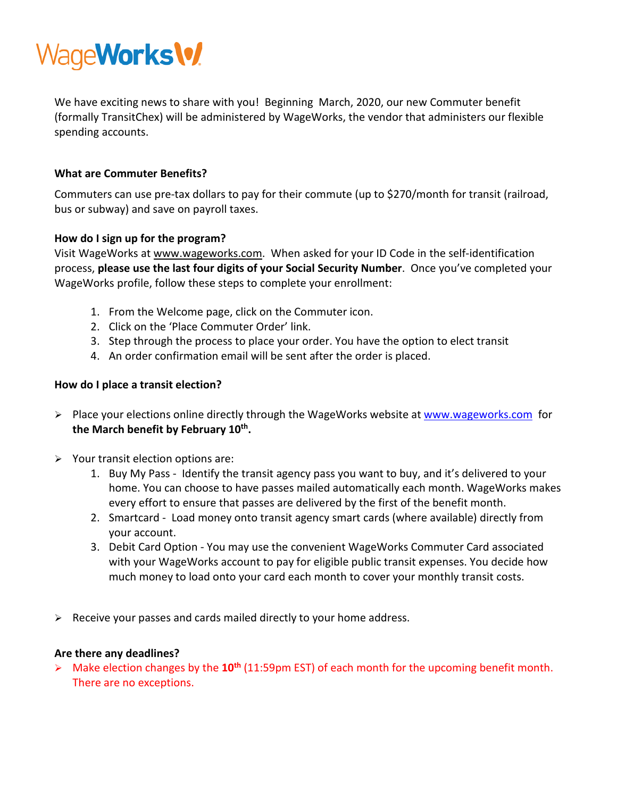

We have exciting news to share with you! Beginning March, 2020, our new Commuter benefit (formally TransitChex) will be administered by WageWorks, the vendor that administers our flexible spending accounts.

## **What are Commuter Benefits?**

Commuters can use pre-tax dollars to pay for their commute (up to \$270/month for transit (railroad, bus or subway) and save on payroll taxes.

## **How do I sign up for the program?**

Visit WageWorks at [www.wageworks.com.](http://www.wageworks.com/) When asked for your ID Code in the self-identification process, **please use the last four digits of your Social Security Number**. Once you've completed your WageWorks profile, follow these steps to complete your enrollment:

- 1. From the Welcome page, click on the Commuter icon.
- 2. Click on the 'Place Commuter Order' link.
- 3. Step through the process to place your order. You have the option to elect transit
- 4. An order confirmation email will be sent after the order is placed.

## **How do I place a transit election?**

- Place your elections online directly through the WageWorks website a[t www.wageworks.com](http://www.wageworks.com/) for **the March benefit by February 10th.**
- $\triangleright$  Your transit election options are:
	- 1. Buy My Pass Identify the transit agency pass you want to buy, and it's delivered to your home. You can choose to have passes mailed automatically each month. WageWorks makes every effort to ensure that passes are delivered by the first of the benefit month.
	- 2. Smartcard Load money onto transit agency smart cards (where available) directly from your account.
	- 3. Debit Card Option You may use the convenient WageWorks Commuter Card associated with your WageWorks account to pay for eligible public transit expenses. You decide how much money to load onto your card each month to cover your monthly transit costs.
- $\triangleright$  Receive your passes and cards mailed directly to your home address.

## **Are there any deadlines?**

 Make election changes by the **10th** (11:59pm EST) of each month for the upcoming benefit month. There are no exceptions.